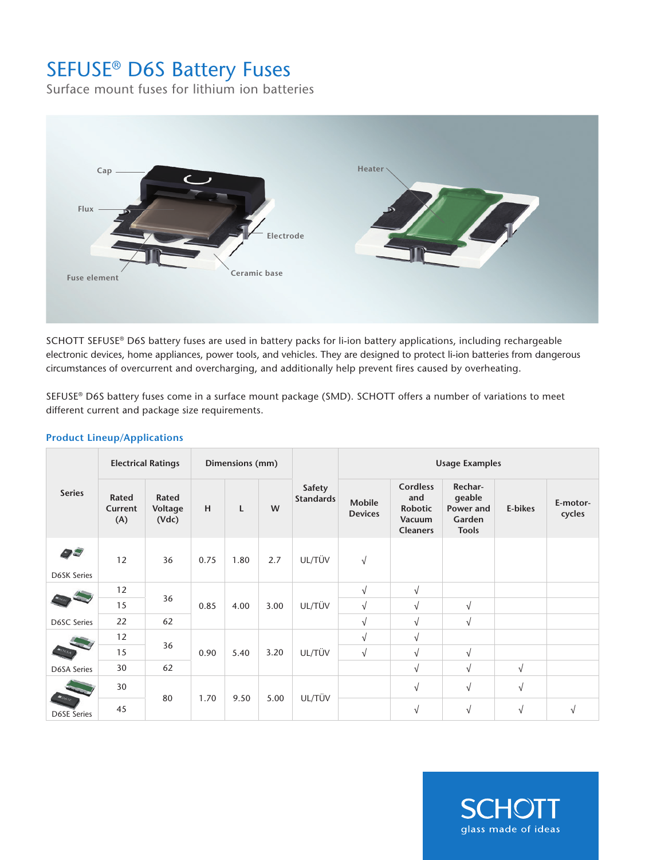# SEFUSE® D6S Battery Fuses

Surface mount fuses for lithium ion batteries



SCHOTT SEFUSE® D6S battery fuses are used in battery packs for li-ion battery applications, including rechargeable electronic devices, home appliances, power tools, and vehicles. They are designed to protect li-ion batteries from dangerous circumstances of overcurrent and overcharging, and additionally help prevent fires caused by overheating.

SEFUSE® D6S battery fuses come in a surface mount package (SMD). SCHOTT offers a number of variations to meet different current and package size requirements.

| <b>Series</b>                        | <b>Electrical Ratings</b> |                           | Dimensions (mm) |      |      |                            | <b>Usage Examples</b>           |                                                                       |                                                          |            |                    |
|--------------------------------------|---------------------------|---------------------------|-----------------|------|------|----------------------------|---------------------------------|-----------------------------------------------------------------------|----------------------------------------------------------|------------|--------------------|
|                                      | Rated<br>Current<br>(A)   | Rated<br>Voltage<br>(Vdc) | H               | L    | W    | Safety<br><b>Standards</b> | <b>Mobile</b><br><b>Devices</b> | <b>Cordless</b><br>and<br><b>Robotic</b><br>Vacuum<br><b>Cleaners</b> | Rechar-<br>geable<br>Power and<br>Garden<br><b>Tools</b> | E-bikes    | E-motor-<br>cycles |
| 95<br><b>D6SK Series</b>             | 12                        | 36                        | 0.75            | 1.80 | 2.7  | UL/TÜV                     | $\sqrt{ }$                      |                                                                       |                                                          |            |                    |
|                                      | 12                        | 36                        | 0.85            | 4.00 | 3.00 | UL/TÜV                     | $\sqrt{ }$                      | $\sqrt{ }$                                                            |                                                          |            |                    |
|                                      | 15                        |                           |                 |      |      |                            | $\sqrt{ }$                      | V                                                                     | $\sqrt{}$                                                |            |                    |
| D6SC Series                          | 22                        | 62                        |                 |      |      |                            | $\sqrt{ }$                      | V                                                                     | $\sqrt{}$                                                |            |                    |
|                                      | 12                        | 36                        | 0.90            | 5.40 | 3.20 | UL/TÜV                     | $\sqrt{ }$                      | $\sqrt{ }$                                                            |                                                          |            |                    |
|                                      | 15                        |                           |                 |      |      |                            | $\sqrt{}$                       | $\sqrt{ }$                                                            | $\sqrt{}$                                                |            |                    |
| <b>D6SA Series</b>                   | 30                        | 62                        |                 |      |      |                            |                                 | $\sqrt{ }$                                                            | $\sqrt{ }$                                               | $\sqrt{ }$ |                    |
| $\bullet$ OGSE<br><b>D6SE Series</b> | 30                        | 80                        | 1.70            | 9.50 | 5.00 | UL/TÜV                     |                                 | $\sqrt{ }$                                                            | $\sqrt{}$                                                | $\sqrt{}$  |                    |
|                                      | 45                        |                           |                 |      |      |                            |                                 | $\sqrt{ }$                                                            | $\sqrt{ }$                                               | $\sqrt{}$  | V                  |

### **Product Lineup/Applications**